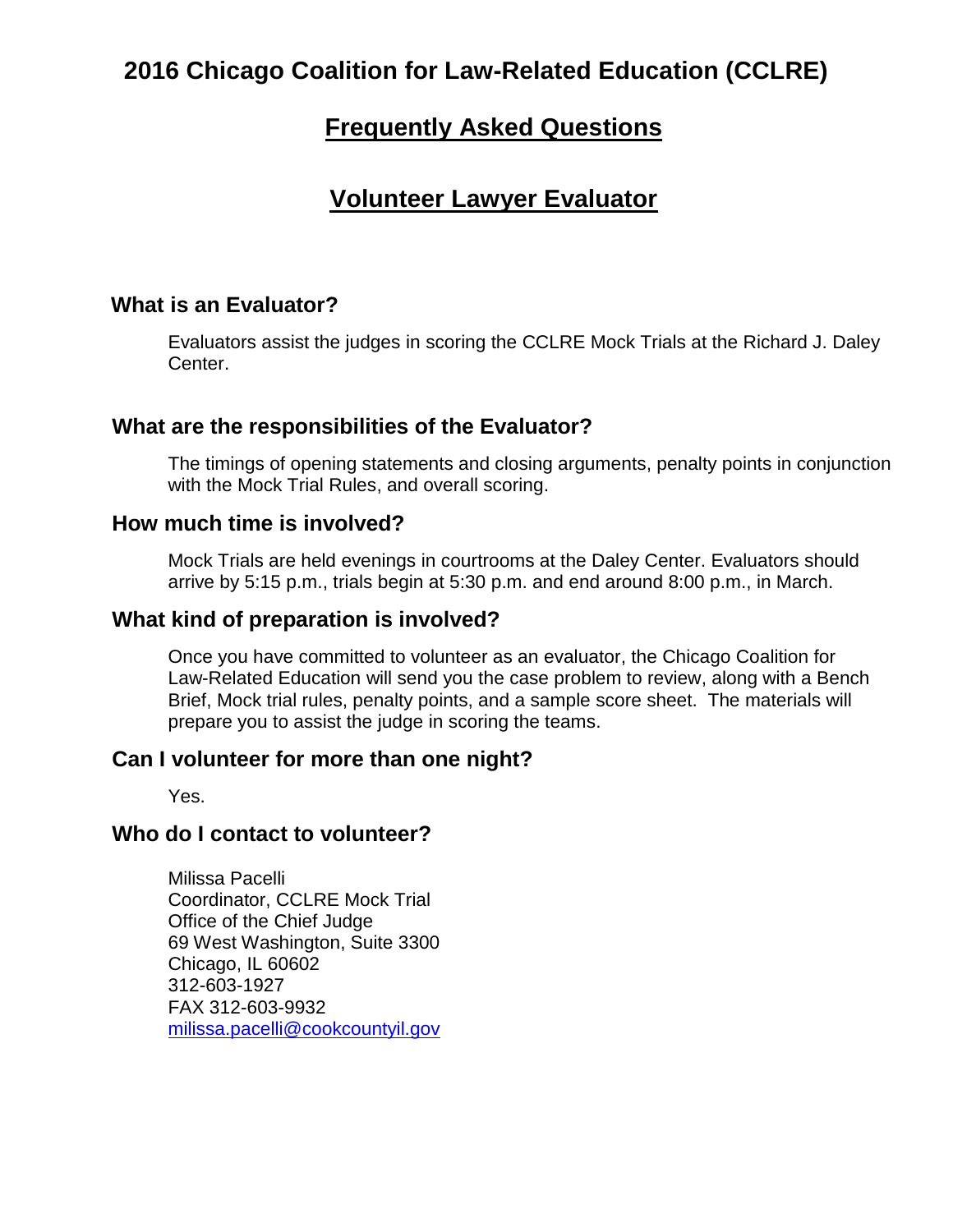# **2016 Chicago Coalition for Law-Related Education (CCLRE)**

## **Frequently Asked Questions**

## **Volunteer Lawyer Evaluator**

## **What is an Evaluator?**

Evaluators assist the judges in scoring the CCLRE Mock Trials at the Richard J. Daley Center.

## **What are the responsibilities of the Evaluator?**

The timings of opening statements and closing arguments, penalty points in conjunction with the Mock Trial Rules, and overall scoring.

#### **How much time is involved?**

Mock Trials are held evenings in courtrooms at the Daley Center. Evaluators should arrive by 5:15 p.m., trials begin at 5:30 p.m. and end around 8:00 p.m., in March.

#### **What kind of preparation is involved?**

Once you have committed to volunteer as an evaluator, the Chicago Coalition for Law-Related Education will send you the case problem to review, along with a Bench Brief, Mock trial rules, penalty points, and a sample score sheet. The materials will prepare you to assist the judge in scoring the teams.

## **Can I volunteer for more than one night?**

Yes.

## **Who do I contact to volunteer?**

Milissa Pacelli Coordinator, CCLRE Mock Trial Office of the Chief Judge 69 West Washington, Suite 3300 Chicago, IL 60602 312-603-1927 FAX 312-603-9932 [milissa.pacelli@cookcountyil.gov](mailto:milissa.pacelli@cookcountyil.gov)